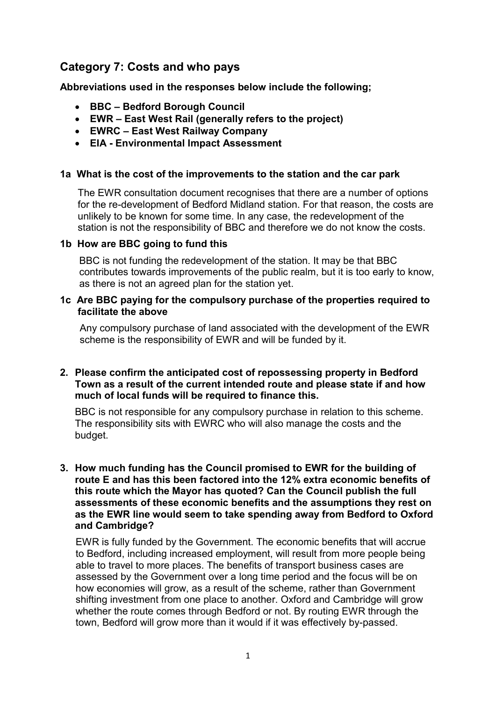# Category 7: Costs and who pays

Abbreviations used in the responses below include the following;

- BBC Bedford Borough Council
- EWR East West Rail (generally refers to the project)
- EWRC East West Railway Company
- EIA Environmental Impact Assessment

#### 1a What is the cost of the improvements to the station and the car park

 The EWR consultation document recognises that there are a number of options for the re-development of Bedford Midland station. For that reason, the costs are unlikely to be known for some time. In any case, the redevelopment of the station is not the responsibility of BBC and therefore we do not know the costs.

# 1b How are BBC going to fund this

 BBC is not funding the redevelopment of the station. It may be that BBC contributes towards improvements of the public realm, but it is too early to know, as there is not an agreed plan for the station yet.

# 1c Are BBC paying for the compulsory purchase of the properties required to facilitate the above

 Any compulsory purchase of land associated with the development of the EWR scheme is the responsibility of EWR and will be funded by it.

#### 2. Please confirm the anticipated cost of repossessing property in Bedford Town as a result of the current intended route and please state if and how much of local funds will be required to finance this.

 BBC is not responsible for any compulsory purchase in relation to this scheme. The responsibility sits with EWRC who will also manage the costs and the budget.

# 3. How much funding has the Council promised to EWR for the building of route E and has this been factored into the 12% extra economic benefits of this route which the Mayor has quoted? Can the Council publish the full assessments of these economic benefits and the assumptions they rest on as the EWR line would seem to take spending away from Bedford to Oxford and Cambridge?

 EWR is fully funded by the Government. The economic benefits that will accrue to Bedford, including increased employment, will result from more people being able to travel to more places. The benefits of transport business cases are assessed by the Government over a long time period and the focus will be on how economies will grow, as a result of the scheme, rather than Government shifting investment from one place to another. Oxford and Cambridge will grow whether the route comes through Bedford or not. By routing EWR through the town, Bedford will grow more than it would if it was effectively by-passed.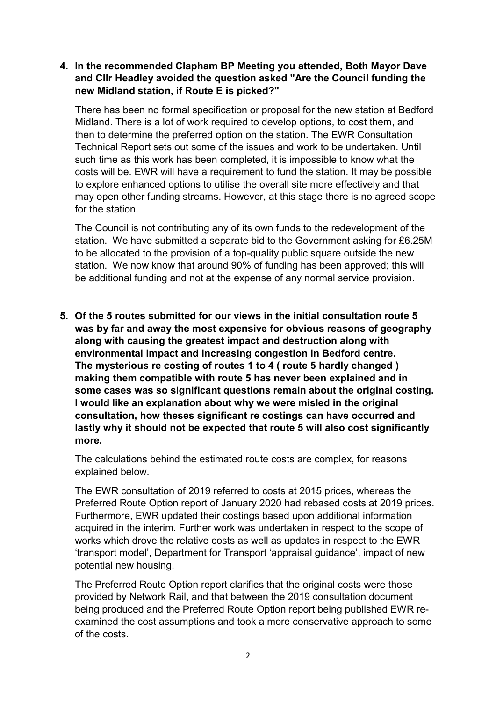# 4. In the recommended Clapham BP Meeting you attended, Both Mayor Dave and Cllr Headley avoided the question asked "Are the Council funding the new Midland station, if Route E is picked?"

 There has been no formal specification or proposal for the new station at Bedford Midland. There is a lot of work required to develop options, to cost them, and then to determine the preferred option on the station. The EWR Consultation Technical Report sets out some of the issues and work to be undertaken. Until such time as this work has been completed, it is impossible to know what the costs will be. EWR will have a requirement to fund the station. It may be possible to explore enhanced options to utilise the overall site more effectively and that may open other funding streams. However, at this stage there is no agreed scope for the station.

 The Council is not contributing any of its own funds to the redevelopment of the station. We have submitted a separate bid to the Government asking for £6.25M to be allocated to the provision of a top-quality public square outside the new station. We now know that around 90% of funding has been approved; this will be additional funding and not at the expense of any normal service provision.

 5. Of the 5 routes submitted for our views in the initial consultation route 5 was by far and away the most expensive for obvious reasons of geography along with causing the greatest impact and destruction along with environmental impact and increasing congestion in Bedford centre. The mysterious re costing of routes 1 to 4 ( route 5 hardly changed ) making them compatible with route 5 has never been explained and in some cases was so significant questions remain about the original costing. I would like an explanation about why we were misled in the original consultation, how theses significant re costings can have occurred and lastly why it should not be expected that route 5 will also cost significantly more.

 The calculations behind the estimated route costs are complex, for reasons explained below.

 The EWR consultation of 2019 referred to costs at 2015 prices, whereas the Preferred Route Option report of January 2020 had rebased costs at 2019 prices. Furthermore, EWR updated their costings based upon additional information acquired in the interim. Further work was undertaken in respect to the scope of works which drove the relative costs as well as updates in respect to the EWR 'transport model', Department for Transport 'appraisal guidance', impact of new potential new housing.

 The Preferred Route Option report clarifies that the original costs were those provided by Network Rail, and that between the 2019 consultation document being produced and the Preferred Route Option report being published EWR re- examined the cost assumptions and took a more conservative approach to some of the costs.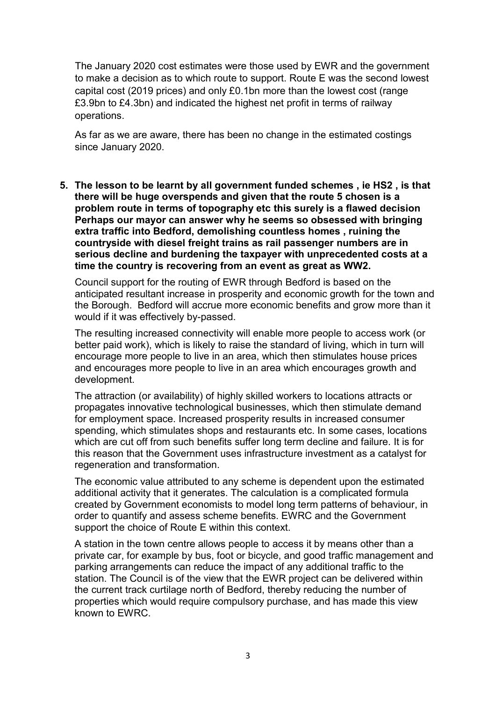The January 2020 cost estimates were those used by EWR and the government to make a decision as to which route to support. Route E was the second lowest capital cost (2019 prices) and only £0.1bn more than the lowest cost (range £3.9bn to £4.3bn) and indicated the highest net profit in terms of railway operations.

 As far as we are aware, there has been no change in the estimated costings since January 2020.

 5. The lesson to be learnt by all government funded schemes , ie HS2 , is that there will be huge overspends and given that the route 5 chosen is a problem route in terms of topography etc this surely is a flawed decision Perhaps our mayor can answer why he seems so obsessed with bringing extra traffic into Bedford, demolishing countless homes , ruining the countryside with diesel freight trains as rail passenger numbers are in serious decline and burdening the taxpayer with unprecedented costs at a time the country is recovering from an event as great as WW2.

 Council support for the routing of EWR through Bedford is based on the anticipated resultant increase in prosperity and economic growth for the town and the Borough. Bedford will accrue more economic benefits and grow more than it would if it was effectively by-passed.

 The resulting increased connectivity will enable more people to access work (or better paid work), which is likely to raise the standard of living, which in turn will encourage more people to live in an area, which then stimulates house prices and encourages more people to live in an area which encourages growth and development.

 The attraction (or availability) of highly skilled workers to locations attracts or propagates innovative technological businesses, which then stimulate demand for employment space. Increased prosperity results in increased consumer spending, which stimulates shops and restaurants etc. In some cases, locations which are cut off from such benefits suffer long term decline and failure. It is for this reason that the Government uses infrastructure investment as a catalyst for regeneration and transformation.

 The economic value attributed to any scheme is dependent upon the estimated additional activity that it generates. The calculation is a complicated formula created by Government economists to model long term patterns of behaviour, in order to quantify and assess scheme benefits. EWRC and the Government support the choice of Route E within this context.

 A station in the town centre allows people to access it by means other than a private car, for example by bus, foot or bicycle, and good traffic management and parking arrangements can reduce the impact of any additional traffic to the station. The Council is of the view that the EWR project can be delivered within the current track curtilage north of Bedford, thereby reducing the number of properties which would require compulsory purchase, and has made this view known to EWRC.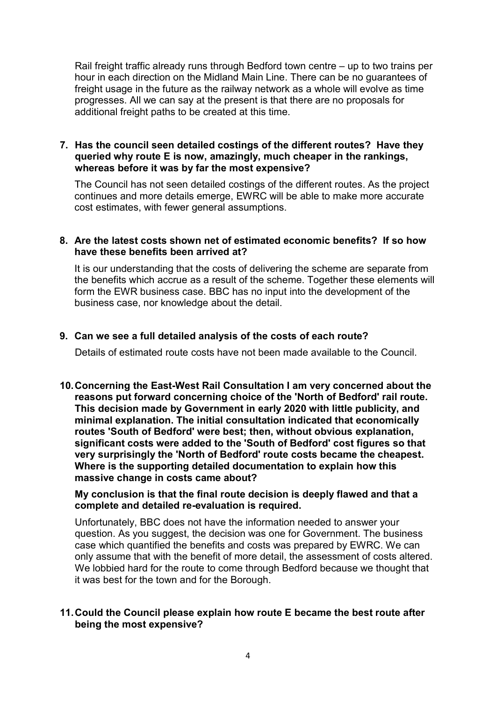Rail freight traffic already runs through Bedford town centre – up to two trains per hour in each direction on the Midland Main Line. There can be no guarantees of freight usage in the future as the railway network as a whole will evolve as time progresses. All we can say at the present is that there are no proposals for additional freight paths to be created at this time.

# 7. Has the council seen detailed costings of the different routes? Have they queried why route E is now, amazingly, much cheaper in the rankings, whereas before it was by far the most expensive?

 The Council has not seen detailed costings of the different routes. As the project continues and more details emerge, EWRC will be able to make more accurate cost estimates, with fewer general assumptions.

# 8. Are the latest costs shown net of estimated economic benefits? If so how have these benefits been arrived at?

 It is our understanding that the costs of delivering the scheme are separate from the benefits which accrue as a result of the scheme. Together these elements will form the EWR business case. BBC has no input into the development of the business case, nor knowledge about the detail.

# 9. Can we see a full detailed analysis of the costs of each route?

Details of estimated route costs have not been made available to the Council.

 10.Concerning the East-West Rail Consultation I am very concerned about the reasons put forward concerning choice of the 'North of Bedford' rail route. This decision made by Government in early 2020 with little publicity, and minimal explanation. The initial consultation indicated that economically routes 'South of Bedford' were best; then, without obvious explanation, significant costs were added to the 'South of Bedford' cost figures so that very surprisingly the 'North of Bedford' route costs became the cheapest. Where is the supporting detailed documentation to explain how this massive change in costs came about?

 My conclusion is that the final route decision is deeply flawed and that a complete and detailed re-evaluation is required.

 Unfortunately, BBC does not have the information needed to answer your question. As you suggest, the decision was one for Government. The business case which quantified the benefits and costs was prepared by EWRC. We can only assume that with the benefit of more detail, the assessment of costs altered. We lobbied hard for the route to come through Bedford because we thought that it was best for the town and for the Borough.

# 11.Could the Council please explain how route E became the best route after being the most expensive?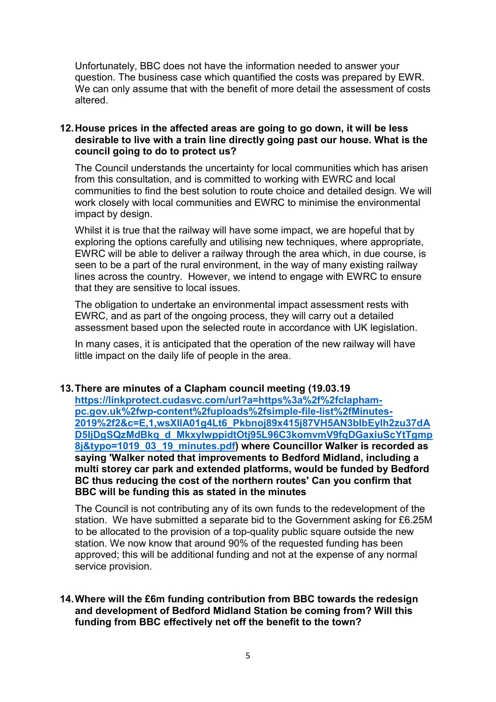Unfortunately, BBC does not have the information needed to answer your question. The business case which quantified the costs was prepared by EWR. We can only assume that with the benefit of more detail the assessment of costs altered.

# 12.House prices in the affected areas are going to go down, it will be less desirable to live with a train line directly going past our house. What is the council going to do to protect us?

 The Council understands the uncertainty for local communities which has arisen from this consultation, and is committed to working with EWRC and local communities to find the best solution to route choice and detailed design. We will work closely with local communities and EWRC to minimise the environmental impact by design.

 Whilst it is true that the railway will have some impact, we are hopeful that by exploring the options carefully and utilising new techniques, where appropriate, EWRC will be able to deliver a railway through the area which, in due course, is seen to be a part of the rural environment, in the way of many existing railway lines across the country. However, we intend to engage with EWRC to ensure that they are sensitive to local issues.

 The obligation to undertake an environmental impact assessment rests with EWRC, and as part of the ongoing process, they will carry out a detailed assessment based upon the selected route in accordance with UK legislation.

 In many cases, it is anticipated that the operation of the new railway will have little impact on the daily life of people in the area.

# 13.There are minutes of a Clapham council meeting (19.03.19

8j&typo=1019\_03\_19\_minutes.pdf) where Councillor Walker is recorded as saying 'Walker noted that improvements to Bedford Midland, including a multi storey car park and extended platforms, would be funded by Bedford BC thus reducing the cost of the northern routes' Can you confirm that BBC will be funding this as stated in the minutes https://linkprotect.cudasvc.com/url?a=https%3a%2f%2fclaphampc.gov.uk%2fwp-content%2fuploads%2fsimple-file-list%2fMinutes-2019%2f2&c=E,1,wsXIlA01g4Lt6\_Pkbnoj89x415j87VH5AN3bIbEyIh2zu37dA D5liDgSQzMdBkg d MkxylwppidtOti95L96C3komvmV9fqDGaxiuScYtTgmp

 The Council is not contributing any of its own funds to the redevelopment of the station. We have submitted a separate bid to the Government asking for £6.25M to be allocated to the provision of a top-quality public square outside the new station. We now know that around 90% of the requested funding has been approved; this will be additional funding and not at the expense of any normal service provision.

# 14.Where will the £6m funding contribution from BBC towards the redesign and development of Bedford Midland Station be coming from? Will this funding from BBC effectively net off the benefit to the town?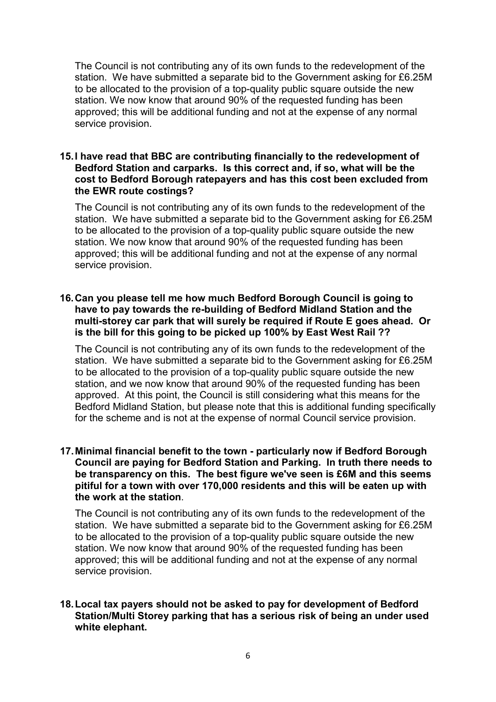The Council is not contributing any of its own funds to the redevelopment of the station. We have submitted a separate bid to the Government asking for £6.25M to be allocated to the provision of a top-quality public square outside the new station. We now know that around 90% of the requested funding has been approved; this will be additional funding and not at the expense of any normal service provision.

#### 15.I have read that BBC are contributing financially to the redevelopment of Bedford Station and carparks. Is this correct and, if so, what will be the cost to Bedford Borough ratepayers and has this cost been excluded from the EWR route costings?

 The Council is not contributing any of its own funds to the redevelopment of the station. We have submitted a separate bid to the Government asking for £6.25M to be allocated to the provision of a top-quality public square outside the new station. We now know that around 90% of the requested funding has been approved; this will be additional funding and not at the expense of any normal service provision.

# 16.Can you please tell me how much Bedford Borough Council is going to have to pay towards the re-building of Bedford Midland Station and the multi-storey car park that will surely be required if Route E goes ahead. Or is the bill for this going to be picked up 100% by East West Rail ??

 The Council is not contributing any of its own funds to the redevelopment of the station. We have submitted a separate bid to the Government asking for £6.25M to be allocated to the provision of a top-quality public square outside the new station, and we now know that around 90% of the requested funding has been approved. At this point, the Council is still considering what this means for the Bedford Midland Station, but please note that this is additional funding specifically for the scheme and is not at the expense of normal Council service provision.

#### 17.Minimal financial benefit to the town - particularly now if Bedford Borough Council are paying for Bedford Station and Parking. In truth there needs to be transparency on this. The best figure we've seen is £6M and this seems pitiful for a town with over 170,000 residents and this will be eaten up with the work at the station.

 The Council is not contributing any of its own funds to the redevelopment of the station. We have submitted a separate bid to the Government asking for £6.25M to be allocated to the provision of a top-quality public square outside the new station. We now know that around 90% of the requested funding has been approved; this will be additional funding and not at the expense of any normal service provision.

# 18.Local tax payers should not be asked to pay for development of Bedford Station/Multi Storey parking that has a serious risk of being an under used white elephant.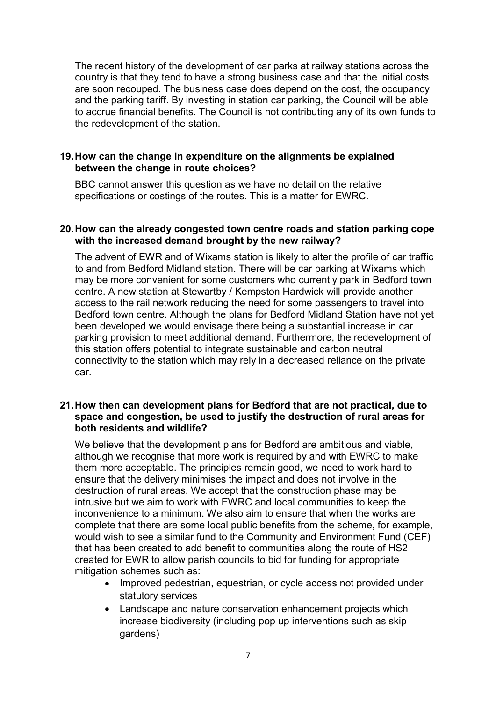The recent history of the development of car parks at railway stations across the country is that they tend to have a strong business case and that the initial costs are soon recouped. The business case does depend on the cost, the occupancy and the parking tariff. By investing in station car parking, the Council will be able to accrue financial benefits. The Council is not contributing any of its own funds to the redevelopment of the station.

# 19.How can the change in expenditure on the alignments be explained between the change in route choices?

 BBC cannot answer this question as we have no detail on the relative specifications or costings of the routes. This is a matter for EWRC.

#### 20.How can the already congested town centre roads and station parking cope with the increased demand brought by the new railway?

 The advent of EWR and of Wixams station is likely to alter the profile of car traffic to and from Bedford Midland station. There will be car parking at Wixams which may be more convenient for some customers who currently park in Bedford town centre. A new station at Stewartby / Kempston Hardwick will provide another access to the rail network reducing the need for some passengers to travel into Bedford town centre. Although the plans for Bedford Midland Station have not yet been developed we would envisage there being a substantial increase in car parking provision to meet additional demand. Furthermore, the redevelopment of this station offers potential to integrate sustainable and carbon neutral connectivity to the station which may rely in a decreased reliance on the private car.

# 21.How then can development plans for Bedford that are not practical, due to space and congestion, be used to justify the destruction of rural areas for both residents and wildlife?

 We believe that the development plans for Bedford are ambitious and viable, although we recognise that more work is required by and with EWRC to make them more acceptable. The principles remain good, we need to work hard to ensure that the delivery minimises the impact and does not involve in the destruction of rural areas. We accept that the construction phase may be intrusive but we aim to work with EWRC and local communities to keep the inconvenience to a minimum. We also aim to ensure that when the works are complete that there are some local public benefits from the scheme, for example, would wish to see a similar fund to the Community and Environment Fund (CEF) that has been created to add benefit to communities along the route of HS2 created for EWR to allow parish councils to bid for funding for appropriate mitigation schemes such as:

- Improved pedestrian, equestrian, or cycle access not provided under statutory services
- Landscape and nature conservation enhancement projects which increase biodiversity (including pop up interventions such as skip gardens)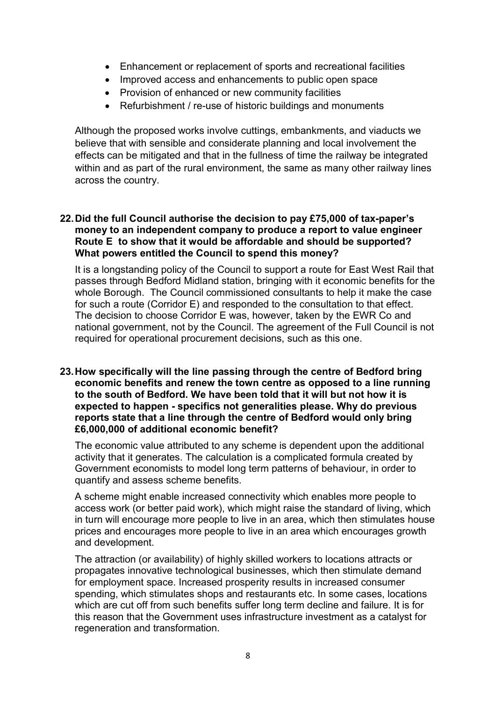- Enhancement or replacement of sports and recreational facilities
- Improved access and enhancements to public open space
- Provision of enhanced or new community facilities
- Refurbishment / re-use of historic buildings and monuments

 Although the proposed works involve cuttings, embankments, and viaducts we believe that with sensible and considerate planning and local involvement the effects can be mitigated and that in the fullness of time the railway be integrated within and as part of the rural environment, the same as many other railway lines across the country.

# 22.Did the full Council authorise the decision to pay £75,000 of tax-paper's money to an independent company to produce a report to value engineer Route E to show that it would be affordable and should be supported? What powers entitled the Council to spend this money?

 It is a longstanding policy of the Council to support a route for East West Rail that passes through Bedford Midland station, bringing with it economic benefits for the whole Borough. The Council commissioned consultants to help it make the case for such a route (Corridor E) and responded to the consultation to that effect. The decision to choose Corridor E was, however, taken by the EWR Co and national government, not by the Council. The agreement of the Full Council is not required for operational procurement decisions, such as this one.

 23.How specifically will the line passing through the centre of Bedford bring economic benefits and renew the town centre as opposed to a line running to the south of Bedford. We have been told that it will but not how it is expected to happen - specifics not generalities please. Why do previous reports state that a line through the centre of Bedford would only bring £6,000,000 of additional economic benefit?

 The economic value attributed to any scheme is dependent upon the additional activity that it generates. The calculation is a complicated formula created by Government economists to model long term patterns of behaviour, in order to quantify and assess scheme benefits.

 A scheme might enable increased connectivity which enables more people to access work (or better paid work), which might raise the standard of living, which in turn will encourage more people to live in an area, which then stimulates house prices and encourages more people to live in an area which encourages growth and development.

 The attraction (or availability) of highly skilled workers to locations attracts or propagates innovative technological businesses, which then stimulate demand for employment space. Increased prosperity results in increased consumer spending, which stimulates shops and restaurants etc. In some cases, locations which are cut off from such benefits suffer long term decline and failure. It is for this reason that the Government uses infrastructure investment as a catalyst for regeneration and transformation.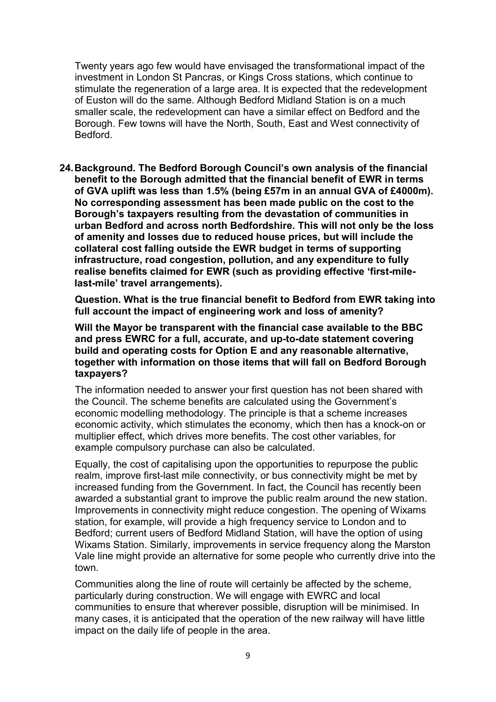Twenty years ago few would have envisaged the transformational impact of the investment in London St Pancras, or Kings Cross stations, which continue to stimulate the regeneration of a large area. It is expected that the redevelopment of Euston will do the same. Although Bedford Midland Station is on a much smaller scale, the redevelopment can have a similar effect on Bedford and the Borough. Few towns will have the North, South, East and West connectivity of **Bedford** 

 24.Background. The Bedford Borough Council's own analysis of the financial benefit to the Borough admitted that the financial benefit of EWR in terms of GVA uplift was less than 1.5% (being £57m in an annual GVA of £4000m). No corresponding assessment has been made public on the cost to the Borough's taxpayers resulting from the devastation of communities in urban Bedford and across north Bedfordshire. This will not only be the loss of amenity and losses due to reduced house prices, but will include the collateral cost falling outside the EWR budget in terms of supporting infrastructure, road congestion, pollution, and any expenditure to fully realise benefits claimed for EWR (such as providing effective 'first-mile-last-mile' travel arrangements).

 Question. What is the true financial benefit to Bedford from EWR taking into full account the impact of engineering work and loss of amenity?

 Will the Mayor be transparent with the financial case available to the BBC and press EWRC for a full, accurate, and up-to-date statement covering build and operating costs for Option E and any reasonable alternative, together with information on those items that will fall on Bedford Borough taxpayers?

 The information needed to answer your first question has not been shared with the Council. The scheme benefits are calculated using the Government's economic modelling methodology. The principle is that a scheme increases economic activity, which stimulates the economy, which then has a knock-on or multiplier effect, which drives more benefits. The cost other variables, for example compulsory purchase can also be calculated.

 Equally, the cost of capitalising upon the opportunities to repurpose the public realm, improve first-last mile connectivity, or bus connectivity might be met by increased funding from the Government. In fact, the Council has recently been awarded a substantial grant to improve the public realm around the new station. Improvements in connectivity might reduce congestion. The opening of Wixams station, for example, will provide a high frequency service to London and to Bedford; current users of Bedford Midland Station, will have the option of using Wixams Station. Similarly, improvements in service frequency along the Marston Vale line might provide an alternative for some people who currently drive into the town.

 Communities along the line of route will certainly be affected by the scheme, particularly during construction. We will engage with EWRC and local communities to ensure that wherever possible, disruption will be minimised. In many cases, it is anticipated that the operation of the new railway will have little impact on the daily life of people in the area.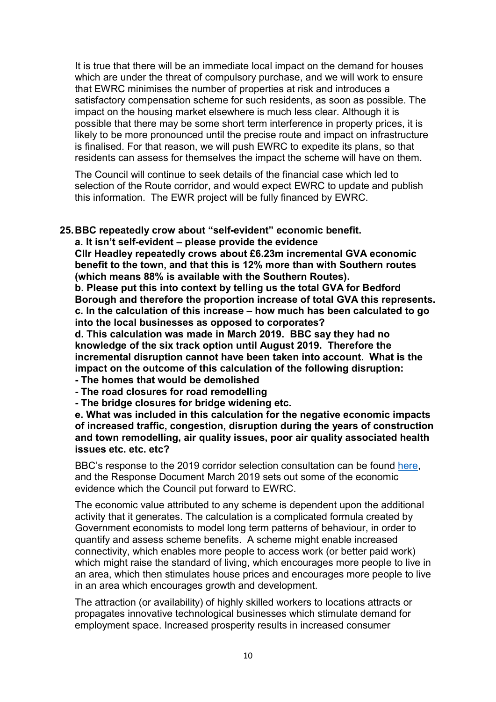It is true that there will be an immediate local impact on the demand for houses which are under the threat of compulsory purchase, and we will work to ensure that EWRC minimises the number of properties at risk and introduces a satisfactory compensation scheme for such residents, as soon as possible. The impact on the housing market elsewhere is much less clear. Although it is possible that there may be some short term interference in property prices, it is likely to be more pronounced until the precise route and impact on infrastructure is finalised. For that reason, we will push EWRC to expedite its plans, so that residents can assess for themselves the impact the scheme will have on them.

 The Council will continue to seek details of the financial case which led to selection of the Route corridor, and would expect EWRC to update and publish this information. The EWR project will be fully financed by EWRC.

# 25.BBC repeatedly crow about "self-evident" economic benefit.

a. It isn't self-evident – please provide the evidence

 Cllr Headley repeatedly crows about £6.23m incremental GVA economic benefit to the town, and that this is 12% more than with Southern routes (which means 88% is available with the Southern Routes).

 b. Please put this into context by telling us the total GVA for Bedford Borough and therefore the proportion increase of total GVA this represents. c. In the calculation of this increase – how much has been calculated to go into the local businesses as opposed to corporates?

 d. This calculation was made in March 2019. BBC say they had no knowledge of the six track option until August 2019. Therefore the incremental disruption cannot have been taken into account. What is the impact on the outcome of this calculation of the following disruption:

- The homes that would be demolished
- The road closures for road remodelling
- The bridge closures for bridge widening etc.

 e. What was included in this calculation for the negative economic impacts of increased traffic, congestion, disruption during the years of construction and town remodelling, air quality issues, poor air quality associated health issues etc. etc. etc?

BBC's response to the 2019 corridor selection consultation can be found here, and the Response Document March 2019 sets out some of the economic evidence which the Council put forward to EWRC.

 The economic value attributed to any scheme is dependent upon the additional activity that it generates. The calculation is a complicated formula created by Government economists to model long term patterns of behaviour, in order to quantify and assess scheme benefits. A scheme might enable increased connectivity, which enables more people to access work (or better paid work) which might raise the standard of living, which encourages more people to live in an area, which then stimulates house prices and encourages more people to live in an area which encourages growth and development.

 The attraction (or availability) of highly skilled workers to locations attracts or propagates innovative technological businesses which stimulate demand for employment space. Increased prosperity results in increased consumer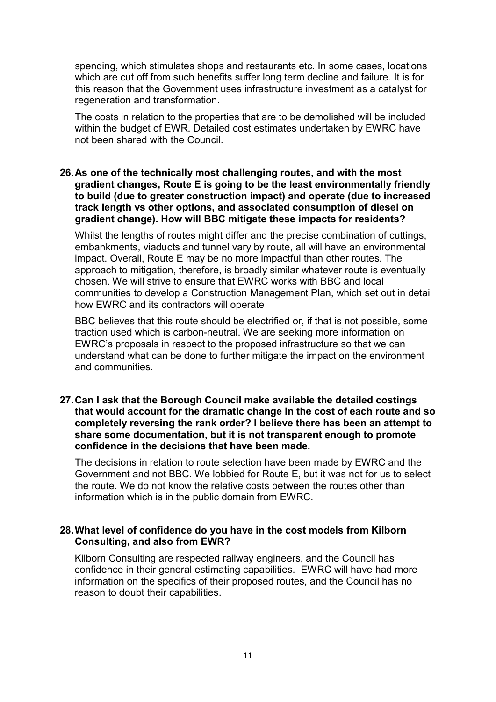spending, which stimulates shops and restaurants etc. In some cases, locations which are cut off from such benefits suffer long term decline and failure. It is for this reason that the Government uses infrastructure investment as a catalyst for regeneration and transformation.

 The costs in relation to the properties that are to be demolished will be included within the budget of EWR. Detailed cost estimates undertaken by EWRC have not been shared with the Council.

#### 26.As one of the technically most challenging routes, and with the most gradient changes, Route E is going to be the least environmentally friendly to build (due to greater construction impact) and operate (due to increased track length vs other options, and associated consumption of diesel on gradient change). How will BBC mitigate these impacts for residents?

 Whilst the lengths of routes might differ and the precise combination of cuttings, embankments, viaducts and tunnel vary by route, all will have an environmental impact. Overall, Route E may be no more impactful than other routes. The approach to mitigation, therefore, is broadly similar whatever route is eventually chosen. We will strive to ensure that EWRC works with BBC and local communities to develop a Construction Management Plan, which set out in detail how EWRC and its contractors will operate

 BBC believes that this route should be electrified or, if that is not possible, some traction used which is carbon-neutral. We are seeking more information on EWRC's proposals in respect to the proposed infrastructure so that we can understand what can be done to further mitigate the impact on the environment and communities.

#### 27.Can I ask that the Borough Council make available the detailed costings that would account for the dramatic change in the cost of each route and so completely reversing the rank order? I believe there has been an attempt to share some documentation, but it is not transparent enough to promote confidence in the decisions that have been made.

 The decisions in relation to route selection have been made by EWRC and the Government and not BBC. We lobbied for Route E, but it was not for us to select the route. We do not know the relative costs between the routes other than information which is in the public domain from EWRC.

# 28.What level of confidence do you have in the cost models from Kilborn Consulting, and also from EWR?

 Kilborn Consulting are respected railway engineers, and the Council has confidence in their general estimating capabilities. EWRC will have had more information on the specifics of their proposed routes, and the Council has no reason to doubt their capabilities.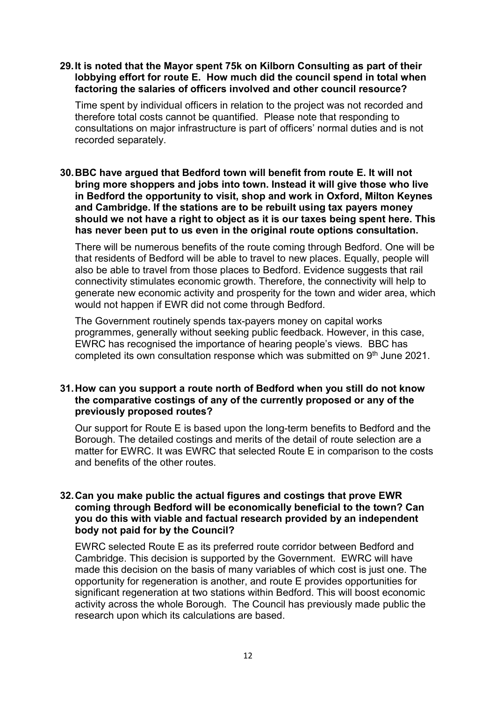# 29.It is noted that the Mayor spent 75k on Kilborn Consulting as part of their lobbying effort for route E. How much did the council spend in total when factoring the salaries of officers involved and other council resource?

 Time spent by individual officers in relation to the project was not recorded and therefore total costs cannot be quantified. Please note that responding to consultations on major infrastructure is part of officers' normal duties and is not recorded separately.

# 30.BBC have argued that Bedford town will benefit from route E. It will not bring more shoppers and jobs into town. Instead it will give those who live in Bedford the opportunity to visit, shop and work in Oxford, Milton Keynes and Cambridge. If the stations are to be rebuilt using tax payers money should we not have a right to object as it is our taxes being spent here. This has never been put to us even in the original route options consultation.

 There will be numerous benefits of the route coming through Bedford. One will be that residents of Bedford will be able to travel to new places. Equally, people will also be able to travel from those places to Bedford. Evidence suggests that rail connectivity stimulates economic growth. Therefore, the connectivity will help to generate new economic activity and prosperity for the town and wider area, which would not happen if EWR did not come through Bedford.

 The Government routinely spends tax-payers money on capital works programmes, generally without seeking public feedback. However, in this case, EWRC has recognised the importance of hearing people's views. BBC has completed its own consultation response which was submitted on 9<sup>th</sup> June 2021.

# 31.How can you support a route north of Bedford when you still do not know the comparative costings of any of the currently proposed or any of the previously proposed routes?

 Our support for Route E is based upon the long-term benefits to Bedford and the Borough. The detailed costings and merits of the detail of route selection are a matter for EWRC. It was EWRC that selected Route E in comparison to the costs and benefits of the other routes.

# 32.Can you make public the actual figures and costings that prove EWR coming through Bedford will be economically beneficial to the town? Can you do this with viable and factual research provided by an independent body not paid for by the Council?

 EWRC selected Route E as its preferred route corridor between Bedford and Cambridge. This decision is supported by the Government. EWRC will have made this decision on the basis of many variables of which cost is just one. The opportunity for regeneration is another, and route E provides opportunities for significant regeneration at two stations within Bedford. This will boost economic activity across the whole Borough. The Council has previously made public the research upon which its calculations are based.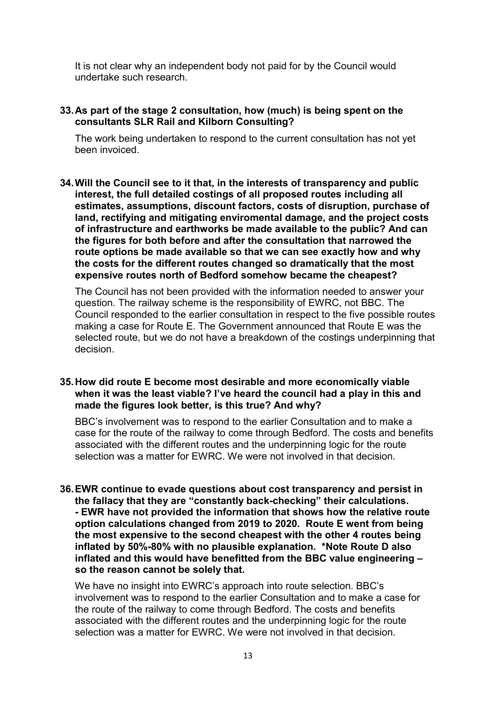It is not clear why an independent body not paid for by the Council would undertake such research.

#### 33.As part of the stage 2 consultation, how (much) is being spent on the consultants SLR Rail and Kilborn Consulting?

 The work being undertaken to respond to the current consultation has not yet been invoiced.

 34.Will the Council see to it that, in the interests of transparency and public interest, the full detailed costings of all proposed routes including all estimates, assumptions, discount factors, costs of disruption, purchase of land, rectifying and mitigating enviromental damage, and the project costs of infrastructure and earthworks be made available to the public? And can the figures for both before and after the consultation that narrowed the route options be made available so that we can see exactly how and why the costs for the different routes changed so dramatically that the most expensive routes north of Bedford somehow became the cheapest?

 The Council has not been provided with the information needed to answer your question. The railway scheme is the responsibility of EWRC, not BBC. The Council responded to the earlier consultation in respect to the five possible routes making a case for Route E. The Government announced that Route E was the selected route, but we do not have a breakdown of the costings underpinning that decision.

#### 35.How did route E become most desirable and more economically viable when it was the least viable? I've heard the council had a play in this and made the figures look better, is this true? And why?

 BBC's involvement was to respond to the earlier Consultation and to make a case for the route of the railway to come through Bedford. The costs and benefits associated with the different routes and the underpinning logic for the route selection was a matter for EWRC. We were not involved in that decision.

 36.EWR continue to evade questions about cost transparency and persist in the fallacy that they are "constantly back-checking" their calculations. - EWR have not provided the information that shows how the relative route option calculations changed from 2019 to 2020. Route E went from being the most expensive to the second cheapest with the other 4 routes being inflated by 50%-80% with no plausible explanation. \*Note Route D also inflated and this would have benefitted from the BBC value engineering – so the reason cannot be solely that.

 We have no insight into EWRC's approach into route selection. BBC's involvement was to respond to the earlier Consultation and to make a case for the route of the railway to come through Bedford. The costs and benefits associated with the different routes and the underpinning logic for the route selection was a matter for EWRC. We were not involved in that decision.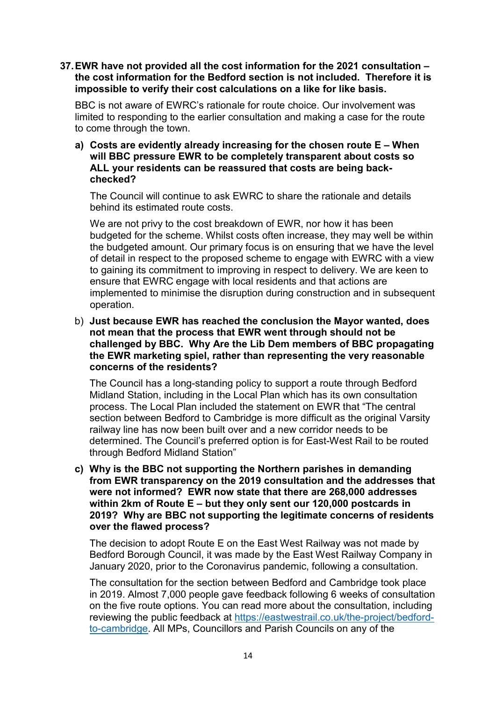# 37.EWR have not provided all the cost information for the 2021 consultation – the cost information for the Bedford section is not included. Therefore it is impossible to verify their cost calculations on a like for like basis.

 BBC is not aware of EWRC's rationale for route choice. Our involvement was limited to responding to the earlier consultation and making a case for the route to come through the town.

# a) Costs are evidently already increasing for the chosen route E – When will BBC pressure EWR to be completely transparent about costs so ALL your residents can be reassured that costs are being backchecked?

 The Council will continue to ask EWRC to share the rationale and details behind its estimated route costs.

 We are not privy to the cost breakdown of EWR, nor how it has been budgeted for the scheme. Whilst costs often increase, they may well be within the budgeted amount. Our primary focus is on ensuring that we have the level of detail in respect to the proposed scheme to engage with EWRC with a view to gaining its commitment to improving in respect to delivery. We are keen to ensure that EWRC engage with local residents and that actions are implemented to minimise the disruption during construction and in subsequent operation.

# b) Just because EWR has reached the conclusion the Mayor wanted, does not mean that the process that EWR went through should not be challenged by BBC. Why Are the Lib Dem members of BBC propagating the EWR marketing spiel, rather than representing the very reasonable concerns of the residents?

 The Council has a long-standing policy to support a route through Bedford Midland Station, including in the Local Plan which has its own consultation process. The Local Plan included the statement on EWR that "The central section between Bedford to Cambridge is more difficult as the original Varsity railway line has now been built over and a new corridor needs to be determined. The Council's preferred option is for East-West Rail to be routed through Bedford Midland Station"

 c) Why is the BBC not supporting the Northern parishes in demanding from EWR transparency on the 2019 consultation and the addresses that were not informed? EWR now state that there are 268,000 addresses within 2km of Route E – but they only sent our 120,000 postcards in 2019? Why are BBC not supporting the legitimate concerns of residents over the flawed process?

 The decision to adopt Route E on the East West Railway was not made by Bedford Borough Council, it was made by the East West Railway Company in January 2020, prior to the Coronavirus pandemic, following a consultation.

 The consultation for the section between Bedford and Cambridge took place in 2019. Almost 7,000 people gave feedback following 6 weeks of consultation on the five route options. You can read more about the consultation, including reviewing the public feedback at https://eastwestrail.co.uk/the-project/bedford-to-cambridge. All MPs, Councillors and Parish Councils on any of the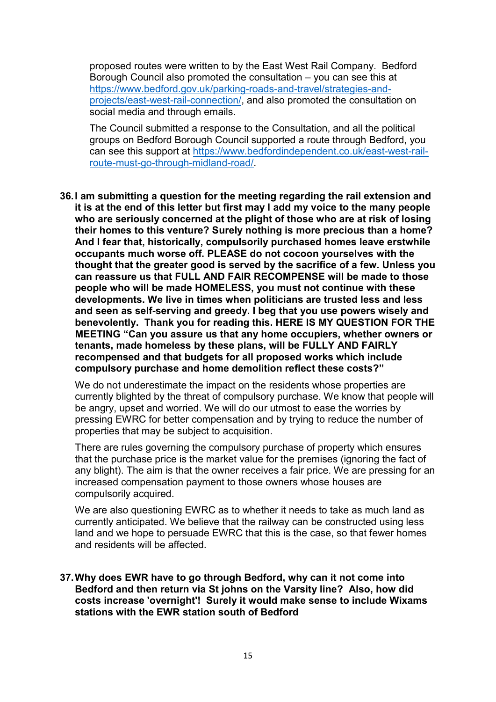proposed routes were written to by the East West Rail Company. Bedford Borough Council also promoted the consultation – you can see this at projects/east-west-rail-connection/, and also promoted the consultation on social media and through emails. https://www.bedford.gov.uk/parking-roads-and-travel/strategies-and-

 The Council submitted a response to the Consultation, and all the political groups on Bedford Borough Council supported a route through Bedford, you can see this support at https://www.bedfordindependent.co.uk/east-west-railroute-must-go-through-midland-road/.

 36.I am submitting a question for the meeting regarding the rail extension and it is at the end of this letter but first may I add my voice to the many people who are seriously concerned at the plight of those who are at risk of losing their homes to this venture? Surely nothing is more precious than a home? And I fear that, historically, compulsorily purchased homes leave erstwhile occupants much worse off. PLEASE do not cocoon yourselves with the thought that the greater good is served by the sacrifice of a few. Unless you can reassure us that FULL AND FAIR RECOMPENSE will be made to those people who will be made HOMELESS, you must not continue with these developments. We live in times when politicians are trusted less and less and seen as self-serving and greedy. I beg that you use powers wisely and benevolently. Thank you for reading this. HERE IS MY QUESTION FOR THE MEETING "Can you assure us that any home occupiers, whether owners or tenants, made homeless by these plans, will be FULLY AND FAIRLY recompensed and that budgets for all proposed works which include compulsory purchase and home demolition reflect these costs?"

 We do not underestimate the impact on the residents whose properties are currently blighted by the threat of compulsory purchase. We know that people will be angry, upset and worried. We will do our utmost to ease the worries by pressing EWRC for better compensation and by trying to reduce the number of properties that may be subject to acquisition.

 There are rules governing the compulsory purchase of property which ensures that the purchase price is the market value for the premises (ignoring the fact of any blight). The aim is that the owner receives a fair price. We are pressing for an increased compensation payment to those owners whose houses are compulsorily acquired.

 We are also questioning EWRC as to whether it needs to take as much land as currently anticipated. We believe that the railway can be constructed using less land and we hope to persuade EWRC that this is the case, so that fewer homes and residents will be affected.

 37.Why does EWR have to go through Bedford, why can it not come into Bedford and then return via St johns on the Varsity line? Also, how did costs increase 'overnight'! Surely it would make sense to include Wixams stations with the EWR station south of Bedford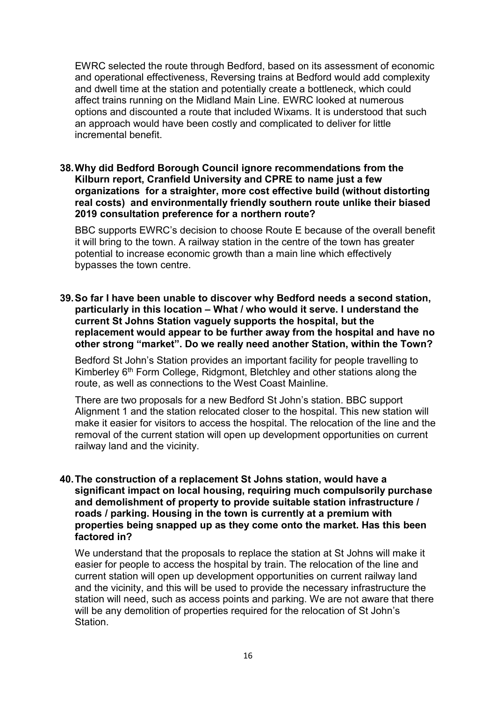EWRC selected the route through Bedford, based on its assessment of economic and operational effectiveness, Reversing trains at Bedford would add complexity and dwell time at the station and potentially create a bottleneck, which could affect trains running on the Midland Main Line. EWRC looked at numerous options and discounted a route that included Wixams. It is understood that such an approach would have been costly and complicated to deliver for little incremental benefit.

# 38.Why did Bedford Borough Council ignore recommendations from the Kilburn report, Cranfield University and CPRE to name just a few organizations for a straighter, more cost effective build (without distorting real costs) and environmentally friendly southern route unlike their biased 2019 consultation preference for a northern route?

 BBC supports EWRC's decision to choose Route E because of the overall benefit it will bring to the town. A railway station in the centre of the town has greater potential to increase economic growth than a main line which effectively bypasses the town centre.

 39.So far I have been unable to discover why Bedford needs a second station, particularly in this location – What / who would it serve. I understand the current St Johns Station vaguely supports the hospital, but the replacement would appear to be further away from the hospital and have no other strong "market". Do we really need another Station, within the Town?

 Bedford St John's Station provides an important facility for people travelling to Kimberley 6<sup>th</sup> Form College, Ridgmont, Bletchley and other stations along the route, as well as connections to the West Coast Mainline.

 There are two proposals for a new Bedford St John's station. BBC support Alignment 1 and the station relocated closer to the hospital. This new station will make it easier for visitors to access the hospital. The relocation of the line and the removal of the current station will open up development opportunities on current railway land and the vicinity.

# 40.The construction of a replacement St Johns station, would have a significant impact on local housing, requiring much compulsorily purchase and demolishment of property to provide suitable station infrastructure / roads / parking. Housing in the town is currently at a premium with properties being snapped up as they come onto the market. Has this been factored in?

 We understand that the proposals to replace the station at St Johns will make it easier for people to access the hospital by train. The relocation of the line and current station will open up development opportunities on current railway land and the vicinity, and this will be used to provide the necessary infrastructure the station will need, such as access points and parking. We are not aware that there will be any demolition of properties required for the relocation of St John's Station.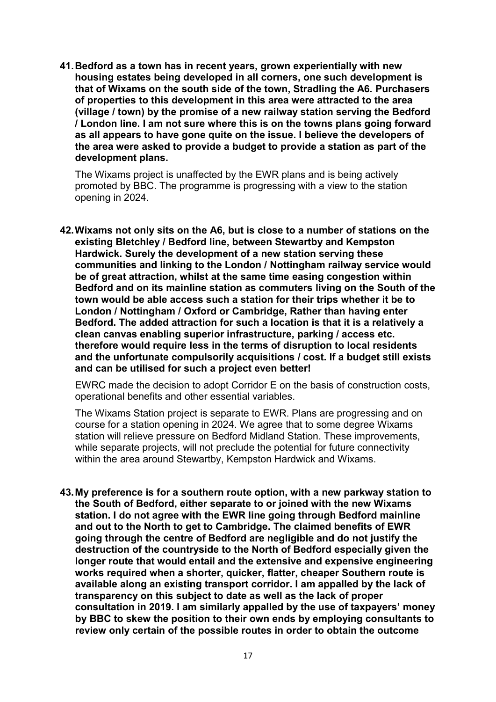41.Bedford as a town has in recent years, grown experientially with new housing estates being developed in all corners, one such development is that of Wixams on the south side of the town, Stradling the A6. Purchasers of properties to this development in this area were attracted to the area (village / town) by the promise of a new railway station serving the Bedford / London line. I am not sure where this is on the towns plans going forward as all appears to have gone quite on the issue. I believe the developers of the area were asked to provide a budget to provide a station as part of the development plans.

 The Wixams project is unaffected by the EWR plans and is being actively promoted by BBC. The programme is progressing with a view to the station opening in 2024.

 42.Wixams not only sits on the A6, but is close to a number of stations on the existing Bletchley / Bedford line, between Stewartby and Kempston Hardwick. Surely the development of a new station serving these communities and linking to the London / Nottingham railway service would be of great attraction, whilst at the same time easing congestion within Bedford and on its mainline station as commuters living on the South of the town would be able access such a station for their trips whether it be to London / Nottingham / Oxford or Cambridge, Rather than having enter Bedford. The added attraction for such a location is that it is a relatively a clean canvas enabling superior infrastructure, parking / access etc. therefore would require less in the terms of disruption to local residents and the unfortunate compulsorily acquisitions / cost. If a budget still exists and can be utilised for such a project even better!

 EWRC made the decision to adopt Corridor E on the basis of construction costs, operational benefits and other essential variables.

 The Wixams Station project is separate to EWR. Plans are progressing and on course for a station opening in 2024. We agree that to some degree Wixams station will relieve pressure on Bedford Midland Station. These improvements, while separate projects, will not preclude the potential for future connectivity within the area around Stewartby, Kempston Hardwick and Wixams.

 43.My preference is for a southern route option, with a new parkway station to the South of Bedford, either separate to or joined with the new Wixams station. I do not agree with the EWR line going through Bedford mainline and out to the North to get to Cambridge. The claimed benefits of EWR going through the centre of Bedford are negligible and do not justify the destruction of the countryside to the North of Bedford especially given the longer route that would entail and the extensive and expensive engineering works required when a shorter, quicker, flatter, cheaper Southern route is available along an existing transport corridor. I am appalled by the lack of transparency on this subject to date as well as the lack of proper consultation in 2019. I am similarly appalled by the use of taxpayers' money by BBC to skew the position to their own ends by employing consultants to review only certain of the possible routes in order to obtain the outcome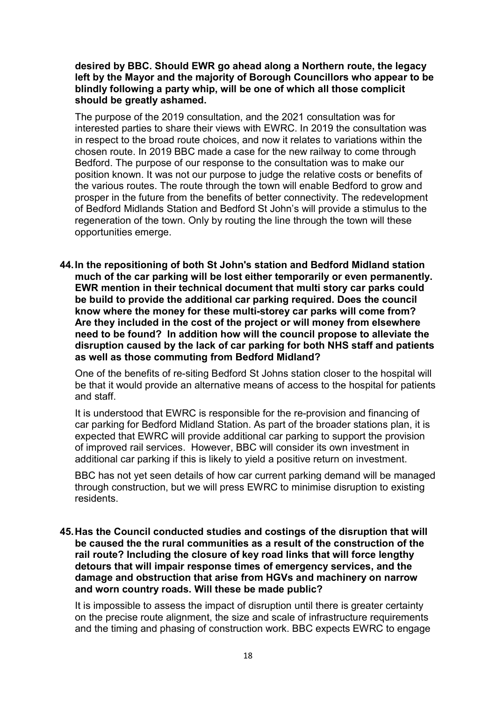desired by BBC. Should EWR go ahead along a Northern route, the legacy left by the Mayor and the majority of Borough Councillors who appear to be blindly following a party whip, will be one of which all those complicit should be greatly ashamed.

 The purpose of the 2019 consultation, and the 2021 consultation was for interested parties to share their views with EWRC. In 2019 the consultation was in respect to the broad route choices, and now it relates to variations within the chosen route. In 2019 BBC made a case for the new railway to come through Bedford. The purpose of our response to the consultation was to make our position known. It was not our purpose to judge the relative costs or benefits of the various routes. The route through the town will enable Bedford to grow and prosper in the future from the benefits of better connectivity. The redevelopment of Bedford Midlands Station and Bedford St John's will provide a stimulus to the regeneration of the town. Only by routing the line through the town will these opportunities emerge.

 44.In the repositioning of both St John's station and Bedford Midland station much of the car parking will be lost either temporarily or even permanently. EWR mention in their technical document that multi story car parks could be build to provide the additional car parking required. Does the council know where the money for these multi-storey car parks will come from? Are they included in the cost of the project or will money from elsewhere need to be found? In addition how will the council propose to alleviate the disruption caused by the lack of car parking for both NHS staff and patients as well as those commuting from Bedford Midland?

 One of the benefits of re-siting Bedford St Johns station closer to the hospital will be that it would provide an alternative means of access to the hospital for patients and staff.

 It is understood that EWRC is responsible for the re-provision and financing of car parking for Bedford Midland Station. As part of the broader stations plan, it is expected that EWRC will provide additional car parking to support the provision of improved rail services. However, BBC will consider its own investment in additional car parking if this is likely to yield a positive return on investment.

 BBC has not yet seen details of how car current parking demand will be managed through construction, but we will press EWRC to minimise disruption to existing residents.

 45.Has the Council conducted studies and costings of the disruption that will be caused the the rural communities as a result of the construction of the rail route? Including the closure of key road links that will force lengthy detours that will impair response times of emergency services, and the damage and obstruction that arise from HGVs and machinery on narrow and worn country roads. Will these be made public?

 It is impossible to assess the impact of disruption until there is greater certainty on the precise route alignment, the size and scale of infrastructure requirements and the timing and phasing of construction work. BBC expects EWRC to engage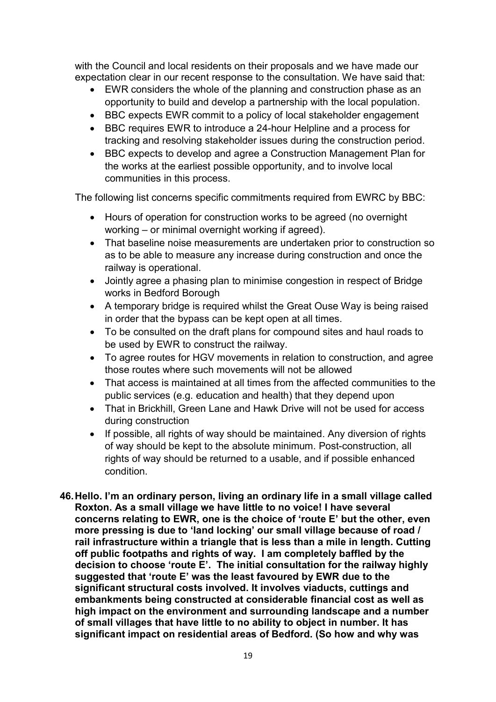with the Council and local residents on their proposals and we have made our expectation clear in our recent response to the consultation. We have said that:

- $\bullet$  opportunity to build and develop a partnership with the local population. EWR considers the whole of the planning and construction phase as an
- BBC expects EWR commit to a policy of local stakeholder engagement
- BBC requires EWR to introduce a 24-hour Helpline and a process for tracking and resolving stakeholder issues during the construction period.
- BBC expects to develop and agree a Construction Management Plan for the works at the earliest possible opportunity, and to involve local communities in this process.

The following list concerns specific commitments required from EWRC by BBC:

- Hours of operation for construction works to be agreed (no overnight working – or minimal overnight working if agreed).
- That baseline noise measurements are undertaken prior to construction so as to be able to measure any increase during construction and once the railway is operational.
- $\bullet$  works in Bedford Borough Jointly agree a phasing plan to minimise congestion in respect of Bridge
- A temporary bridge is required whilst the Great Ouse Way is being raised in order that the bypass can be kept open at all times.
- To be consulted on the draft plans for compound sites and haul roads to be used by EWR to construct the railway.
- $\bullet$  those routes where such movements will not be allowed To agree routes for HGV movements in relation to construction, and agree
- That access is maintained at all times from the affected communities to the public services (e.g. education and health) that they depend upon
- That in Brickhill, Green Lane and Hawk Drive will not be used for access during construction
- $\bullet$  of way should be kept to the absolute minimum. Post-construction, all rights of way should be returned to a usable, and if possible enhanced If possible, all rights of way should be maintained. Any diversion of rights condition.
- 46.Hello. I'm an ordinary person, living an ordinary life in a small village called Roxton. As a small village we have little to no voice! I have several concerns relating to EWR, one is the choice of 'route E' but the other, even more pressing is due to 'land locking' our small village because of road / rail infrastructure within a triangle that is less than a mile in length. Cutting off public footpaths and rights of way. I am completely baffled by the decision to choose 'route E'. The initial consultation for the railway highly suggested that 'route E' was the least favoured by EWR due to the significant structural costs involved. It involves viaducts, cuttings and embankments being constructed at considerable financial cost as well as high impact on the environment and surrounding landscape and a number of small villages that have little to no ability to object in number. It has significant impact on residential areas of Bedford. (So how and why was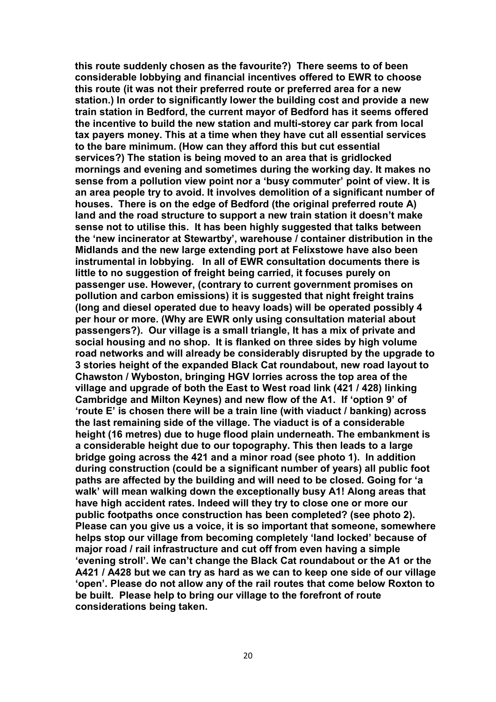this route suddenly chosen as the favourite?) There seems to of been considerable lobbying and financial incentives offered to EWR to choose this route (it was not their preferred route or preferred area for a new station.) In order to significantly lower the building cost and provide a new train station in Bedford, the current mayor of Bedford has it seems offered the incentive to build the new station and multi-storey car park from local tax payers money. This at a time when they have cut all essential services to the bare minimum. (How can they afford this but cut essential services?) The station is being moved to an area that is gridlocked mornings and evening and sometimes during the working day. It makes no sense from a pollution view point nor a 'busy commuter' point of view. It is an area people try to avoid. It involves demolition of a significant number of houses. There is on the edge of Bedford (the original preferred route A) land and the road structure to support a new train station it doesn't make sense not to utilise this. It has been highly suggested that talks between the 'new incinerator at Stewartby', warehouse / container distribution in the Midlands and the new large extending port at Felixstowe have also been instrumental in lobbying. In all of EWR consultation documents there is little to no suggestion of freight being carried, it focuses purely on passenger use. However, (contrary to current government promises on pollution and carbon emissions) it is suggested that night freight trains (long and diesel operated due to heavy loads) will be operated possibly 4 per hour or more. (Why are EWR only using consultation material about passengers?). Our village is a small triangle, It has a mix of private and social housing and no shop. It is flanked on three sides by high volume road networks and will already be considerably disrupted by the upgrade to 3 stories height of the expanded Black Cat roundabout, new road layout to Chawston / Wyboston, bringing HGV lorries across the top area of the village and upgrade of both the East to West road link (421 / 428) linking Cambridge and Milton Keynes) and new flow of the A1. If 'option 9' of 'route E' is chosen there will be a train line (with viaduct / banking) across the last remaining side of the village. The viaduct is of a considerable height (16 metres) due to huge flood plain underneath. The embankment is a considerable height due to our topography. This then leads to a large bridge going across the 421 and a minor road (see photo 1). In addition during construction (could be a significant number of years) all public foot paths are affected by the building and will need to be closed. Going for 'a walk' will mean walking down the exceptionally busy A1! Along areas that have high accident rates. Indeed will they try to close one or more our public footpaths once construction has been completed? (see photo 2). Please can you give us a voice, it is so important that someone, somewhere helps stop our village from becoming completely 'land locked' because of major road / rail infrastructure and cut off from even having a simple 'evening stroll'. We can't change the Black Cat roundabout or the A1 or the A421 / A428 but we can try as hard as we can to keep one side of our village 'open'. Please do not allow any of the rail routes that come below Roxton to be built. Please help to bring our village to the forefront of route considerations being taken.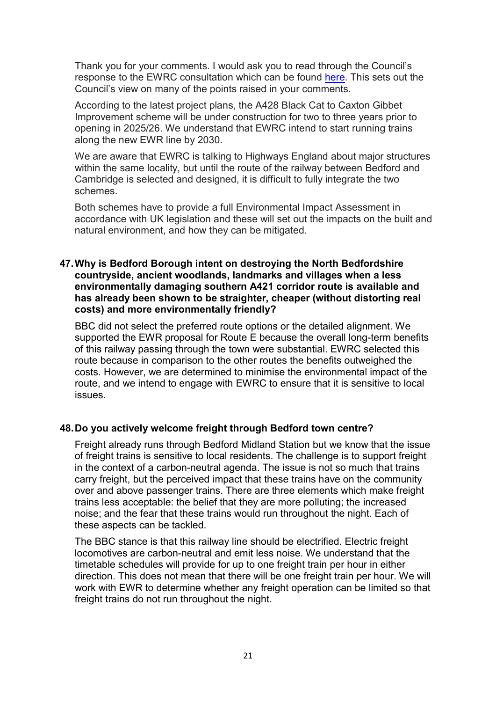Thank you for your comments. I would ask you to read through the Council's response to the EWRC consultation which can be found here. This sets out the Council's view on many of the points raised in your comments.

 According to the latest project plans, the A428 Black Cat to Caxton Gibbet Improvement scheme will be under construction for two to three years prior to opening in 2025/26. We understand that EWRC intend to start running trains along the new EWR line by 2030.

 We are aware that EWRC is talking to Highways England about major structures within the same locality, but until the route of the railway between Bedford and Cambridge is selected and designed, it is difficult to fully integrate the two schemes.

 Both schemes have to provide a full Environmental Impact Assessment in accordance with UK legislation and these will set out the impacts on the built and natural environment, and how they can be mitigated.

# 47.Why is Bedford Borough intent on destroying the North Bedfordshire countryside, ancient woodlands, landmarks and villages when a less environmentally damaging southern A421 corridor route is available and has already been shown to be straighter, cheaper (without distorting real costs) and more environmentally friendly?

 BBC did not select the preferred route options or the detailed alignment. We supported the EWR proposal for Route E because the overall long-term benefits of this railway passing through the town were substantial. EWRC selected this route because in comparison to the other routes the benefits outweighed the costs. However, we are determined to minimise the environmental impact of the route, and we intend to engage with EWRC to ensure that it is sensitive to local issues.

# 48.Do you actively welcome freight through Bedford town centre?

 Freight already runs through Bedford Midland Station but we know that the issue of freight trains is sensitive to local residents. The challenge is to support freight in the context of a carbon-neutral agenda. The issue is not so much that trains carry freight, but the perceived impact that these trains have on the community over and above passenger trains. There are three elements which make freight trains less acceptable: the belief that they are more polluting; the increased noise; and the fear that these trains would run throughout the night. Each of these aspects can be tackled.

 The BBC stance is that this railway line should be electrified. Electric freight locomotives are carbon-neutral and emit less noise. We understand that the timetable schedules will provide for up to one freight train per hour in either direction. This does not mean that there will be one freight train per hour. We will work with EWR to determine whether any freight operation can be limited so that freight trains do not run throughout the night.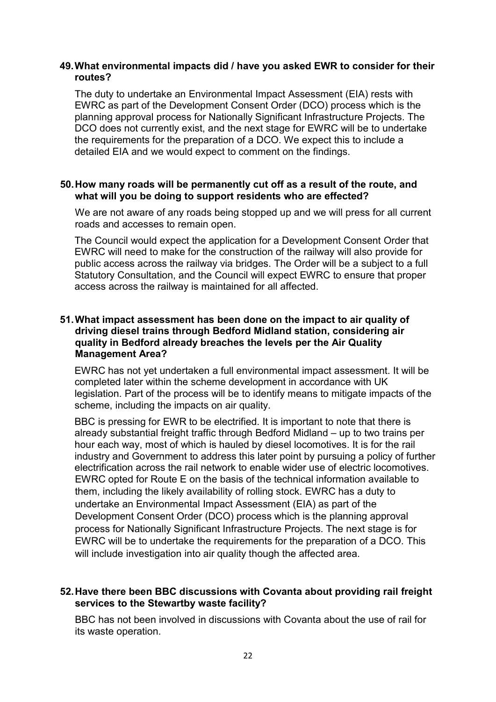#### 49.What environmental impacts did / have you asked EWR to consider for their routes?

 The duty to undertake an Environmental Impact Assessment (EIA) rests with EWRC as part of the Development Consent Order (DCO) process which is the planning approval process for Nationally Significant Infrastructure Projects. The DCO does not currently exist, and the next stage for EWRC will be to undertake the requirements for the preparation of a DCO. We expect this to include a detailed EIA and we would expect to comment on the findings.

#### 50.How many roads will be permanently cut off as a result of the route, and what will you be doing to support residents who are effected?

 We are not aware of any roads being stopped up and we will press for all current roads and accesses to remain open.

 The Council would expect the application for a Development Consent Order that EWRC will need to make for the construction of the railway will also provide for public access across the railway via bridges. The Order will be a subject to a full Statutory Consultation, and the Council will expect EWRC to ensure that proper access across the railway is maintained for all affected.

#### 51.What impact assessment has been done on the impact to air quality of driving diesel trains through Bedford Midland station, considering air quality in Bedford already breaches the levels per the Air Quality Management Area?

 EWRC has not yet undertaken a full environmental impact assessment. It will be completed later within the scheme development in accordance with UK legislation. Part of the process will be to identify means to mitigate impacts of the scheme, including the impacts on air quality.

 BBC is pressing for EWR to be electrified. It is important to note that there is already substantial freight traffic through Bedford Midland – up to two trains per hour each way, most of which is hauled by diesel locomotives. It is for the rail industry and Government to address this later point by pursuing a policy of further electrification across the rail network to enable wider use of electric locomotives. EWRC opted for Route E on the basis of the technical information available to them, including the likely availability of rolling stock. EWRC has a duty to undertake an Environmental Impact Assessment (EIA) as part of the Development Consent Order (DCO) process which is the planning approval process for Nationally Significant Infrastructure Projects. The next stage is for EWRC will be to undertake the requirements for the preparation of a DCO. This will include investigation into air quality though the affected area.

# 52.Have there been BBC discussions with Covanta about providing rail freight services to the Stewartby waste facility?

 BBC has not been involved in discussions with Covanta about the use of rail for its waste operation.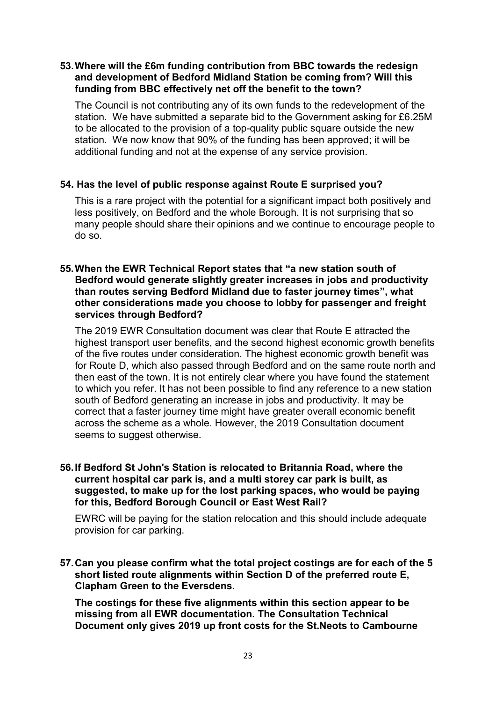# 53.Where will the £6m funding contribution from BBC towards the redesign and development of Bedford Midland Station be coming from? Will this funding from BBC effectively net off the benefit to the town?

 The Council is not contributing any of its own funds to the redevelopment of the station. We have submitted a separate bid to the Government asking for £6.25M to be allocated to the provision of a top-quality public square outside the new station. We now know that 90% of the funding has been approved; it will be additional funding and not at the expense of any service provision.

# 54. Has the level of public response against Route E surprised you?

 This is a rare project with the potential for a significant impact both positively and less positively, on Bedford and the whole Borough. It is not surprising that so many people should share their opinions and we continue to encourage people to do so.

#### 55.When the EWR Technical Report states that "a new station south of Bedford would generate slightly greater increases in jobs and productivity than routes serving Bedford Midland due to faster journey times", what other considerations made you choose to lobby for passenger and freight services through Bedford?

 The 2019 EWR Consultation document was clear that Route E attracted the highest transport user benefits, and the second highest economic growth benefits of the five routes under consideration. The highest economic growth benefit was for Route D, which also passed through Bedford and on the same route north and then east of the town. It is not entirely clear where you have found the statement to which you refer. It has not been possible to find any reference to a new station south of Bedford generating an increase in jobs and productivity. It may be correct that a faster journey time might have greater overall economic benefit across the scheme as a whole. However, the 2019 Consultation document seems to suggest otherwise.

#### 56.If Bedford St John's Station is relocated to Britannia Road, where the current hospital car park is, and a multi storey car park is built, as suggested, to make up for the lost parking spaces, who would be paying for this, Bedford Borough Council or East West Rail?

 EWRC will be paying for the station relocation and this should include adequate provision for car parking.

 57.Can you please confirm what the total project costings are for each of the 5 short listed route alignments within Section D of the preferred route E, Clapham Green to the Eversdens.

 The costings for these five alignments within this section appear to be missing from all EWR documentation. The Consultation Technical Document only gives 2019 up front costs for the St.Neots to Cambourne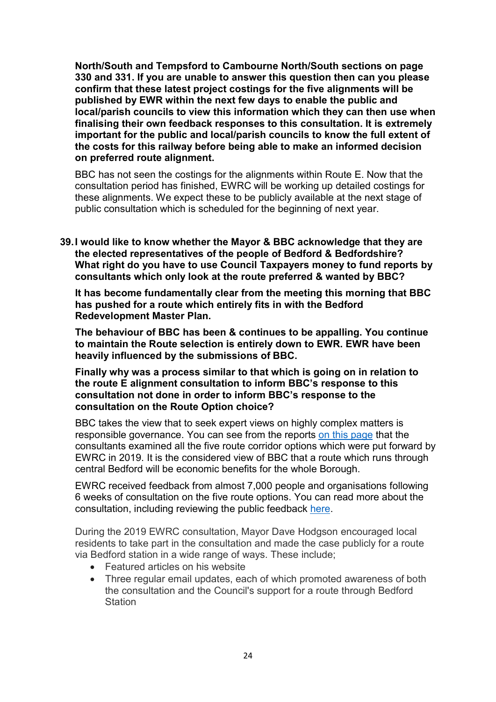North/South and Tempsford to Cambourne North/South sections on page 330 and 331. If you are unable to answer this question then can you please confirm that these latest project costings for the five alignments will be published by EWR within the next few days to enable the public and local/parish councils to view this information which they can then use when finalising their own feedback responses to this consultation. It is extremely important for the public and local/parish councils to know the full extent of the costs for this railway before being able to make an informed decision on preferred route alignment.

 BBC has not seen the costings for the alignments within Route E. Now that the consultation period has finished, EWRC will be working up detailed costings for these alignments. We expect these to be publicly available at the next stage of public consultation which is scheduled for the beginning of next year.

 39.I would like to know whether the Mayor & BBC acknowledge that they are the elected representatives of the people of Bedford & Bedfordshire? What right do you have to use Council Taxpayers money to fund reports by consultants which only look at the route preferred & wanted by BBC?

 It has become fundamentally clear from the meeting this morning that BBC has pushed for a route which entirely fits in with the Bedford Redevelopment Master Plan.

 The behaviour of BBC has been & continues to be appalling. You continue to maintain the Route selection is entirely down to EWR. EWR have been heavily influenced by the submissions of BBC.

 Finally why was a process similar to that which is going on in relation to the route E alignment consultation to inform BBC's response to this consultation not done in order to inform BBC's response to the consultation on the Route Option choice?

 BBC takes the view that to seek expert views on highly complex matters is responsible governance. You can see from the reports on this page that the consultants examined all the five route corridor options which were put forward by EWRC in 2019. It is the considered view of BBC that a route which runs through central Bedford will be economic benefits for the whole Borough.

 EWRC received feedback from almost 7,000 people and organisations following 6 weeks of consultation on the five route options. You can read more about the consultation, including reviewing the public feedback here.

 During the 2019 EWRC consultation, Mayor Dave Hodgson encouraged local residents to take part in the consultation and made the case publicly for a route via Bedford station in a wide range of ways. These include;

- Featured articles on his website
- Three regular email updates, each of which promoted awareness of both the consultation and the Council's support for a route through Bedford **Station**